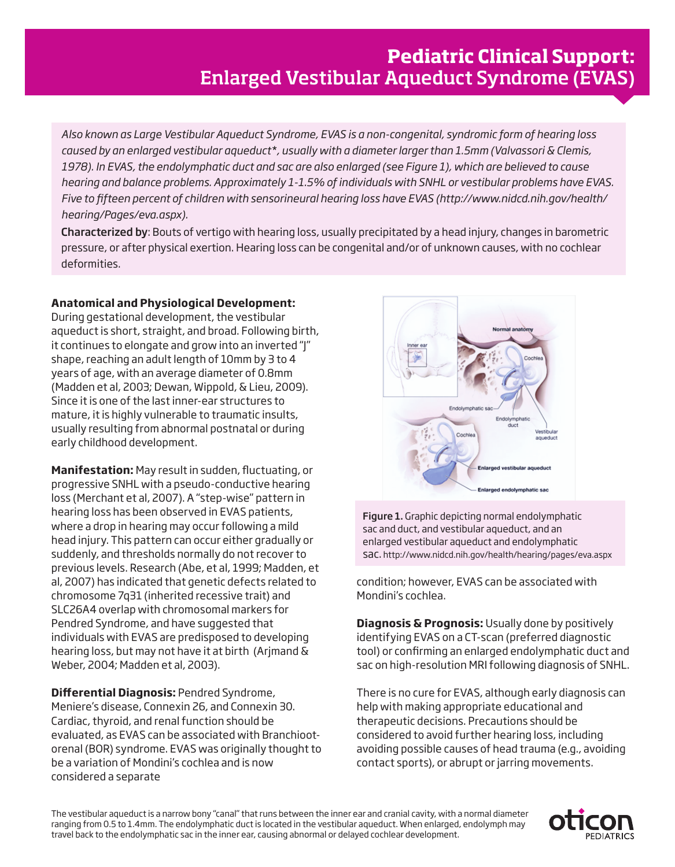*Also known as Large Vestibular Aqueduct Syndrome, EVAS is a non-congenital, syndromic form of hearing loss caused by an enlarged vestibular aqueduct\*, usually with a diameter larger than 1.5mm (Valvassori & Clemis, 1978). In EVAS, the endolymphatic duct and sac are also enlarged (see Figure 1), which are believed to cause hearing and balance problems. Approximately 1-1.5% of individuals with SNHL or vestibular problems have EVAS. Five to fifteen percent of children with sensorineural hearing loss have EVAS (http://www.nidcd.nih.gov/health/ hearing/Pages/eva.aspx).* 

Characterized by: Bouts of vertigo with hearing loss, usually precipitated by a head injury, changes in barometric pressure, or after physical exertion. Hearing loss can be congenital and/or of unknown causes, with no cochlear deformities.

## **Anatomical and Physiological Development:**

During gestational development, the vestibular aqueduct is short, straight, and broad. Following birth, it continues to elongate and grow into an inverted "J" shape, reaching an adult length of 10mm by 3 to 4 years of age, with an average diameter of 0.8mm (Madden et al, 2003; Dewan, Wippold, & Lieu, 2009). Since it is one of the last inner-ear structures to mature, it is highly vulnerable to traumatic insults, usually resulting from abnormal postnatal or during early childhood development.

**Manifestation:** May result in sudden, fluctuating, or progressive SNHL with a pseudo-conductive hearing loss (Merchant et al, 2007). A "step-wise" pattern in hearing loss has been observed in EVAS patients, where a drop in hearing may occur following a mild head injury. This pattern can occur either gradually or suddenly, and thresholds normally do not recover to previous levels. Research (Abe, et al, 1999; Madden, et al, 2007) has indicated that genetic defects related to chromosome 7q31 (inherited recessive trait) and SLC26A4 overlap with chromosomal markers for Pendred Syndrome, and have suggested that individuals with EVAS are predisposed to developing hearing loss, but may not have it at birth (Arjmand & Weber, 2004; Madden et al, 2003).

**Differential Diagnosis:** Pendred Syndrome, Meniere's disease, Connexin 26, and Connexin 30. Cardiac, thyroid, and renal function should be evaluated, as EVAS can be associated with Branchiootorenal (BOR) syndrome. EVAS was originally thought to be a variation of Mondini's cochlea and is now considered a separate



Figure 1. Graphic depicting normal endolymphatic sac and duct, and vestibular aqueduct, and an enlarged vestibular aqueduct and endolymphatic sac. http://www.nidcd.nih.gov/health/hearing/pages/eva.aspx

condition; however, EVAS can be associated with Mondini's cochlea.

**Diagnosis & Prognosis:** Usually done by positively identifying EVAS on a CT-scan (preferred diagnostic tool) or confirming an enlarged endolymphatic duct and sac on high-resolution MRI following diagnosis of SNHL.

There is no cure for EVAS, although early diagnosis can help with making appropriate educational and therapeutic decisions. Precautions should be considered to avoid further hearing loss, including avoiding possible causes of head trauma (e.g., avoiding contact sports), or abrupt or jarring movements.